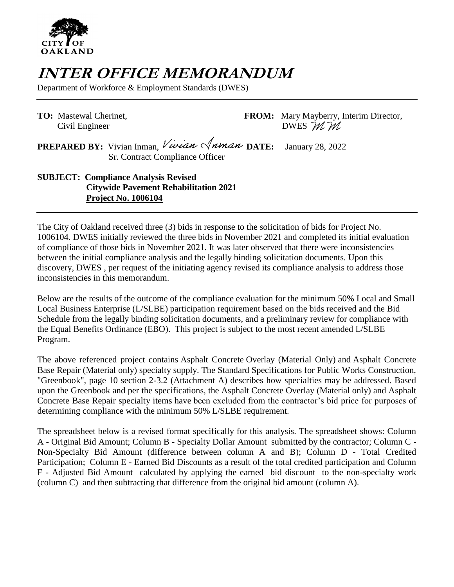

## **INTER OFFICE MEMORANDUM**

Department of Workforce & Employment Standards (DWES)

**TO:** Mastewal Cherinet, **FROM:** Mary Mayberry, Interim Director, Civil Engineer DWES  $M M$ 

**PREPARED BY:** Vivian Inman, Vivian Anman DATE: January 28, 2022 Sr. Contract Compliance Officer

**SUBJECT: Compliance Analysis Revised Citywide Pavement Rehabilitation 2021 Project No. 1006104**

The City of Oakland received three (3) bids in response to the solicitation of bids for Project No. 1006104. DWES initially reviewed the three bids in November 2021 and completed its initial evaluation of compliance of those bids in November 2021. It was later observed that there were inconsistencies between the initial compliance analysis and the legally binding solicitation documents. Upon this discovery, DWES , per request of the initiating agency revised its compliance analysis to address those inconsistencies in this memorandum.

Below are the results of the outcome of the compliance evaluation for the minimum 50% Local and Small Local Business Enterprise (L/SLBE) participation requirement based on the bids received and the Bid Schedule from the legally binding solicitation documents, and a preliminary review for compliance with the Equal Benefits Ordinance (EBO). This project is subject to the most recent amended L/SLBE Program.

The above referenced project contains Asphalt Concrete Overlay (Material Only) and Asphalt Concrete Base Repair (Material only) specialty supply. The Standard Specifications for Public Works Construction, "Greenbook", page 10 section 2-3.2 (Attachment A) describes how specialties may be addressed. Based upon the Greenbook and per the specifications, the Asphalt Concrete Overlay (Material only) and Asphalt Concrete Base Repair specialty items have been excluded from the contractor's bid price for purposes of determining compliance with the minimum 50% L/SLBE requirement.

The spreadsheet below is a revised format specifically for this analysis. The spreadsheet shows: Column A - Original Bid Amount; Column B - Specialty Dollar Amount submitted by the contractor; Column C - Non-Specialty Bid Amount (difference between column A and B); Column D - Total Credited Participation; Column E - Earned Bid Discounts as a result of the total credited participation and Column F - Adjusted Bid Amount calculated by applying the earned bid discount to the non-specialty work (column C) and then subtracting that difference from the original bid amount (column A).